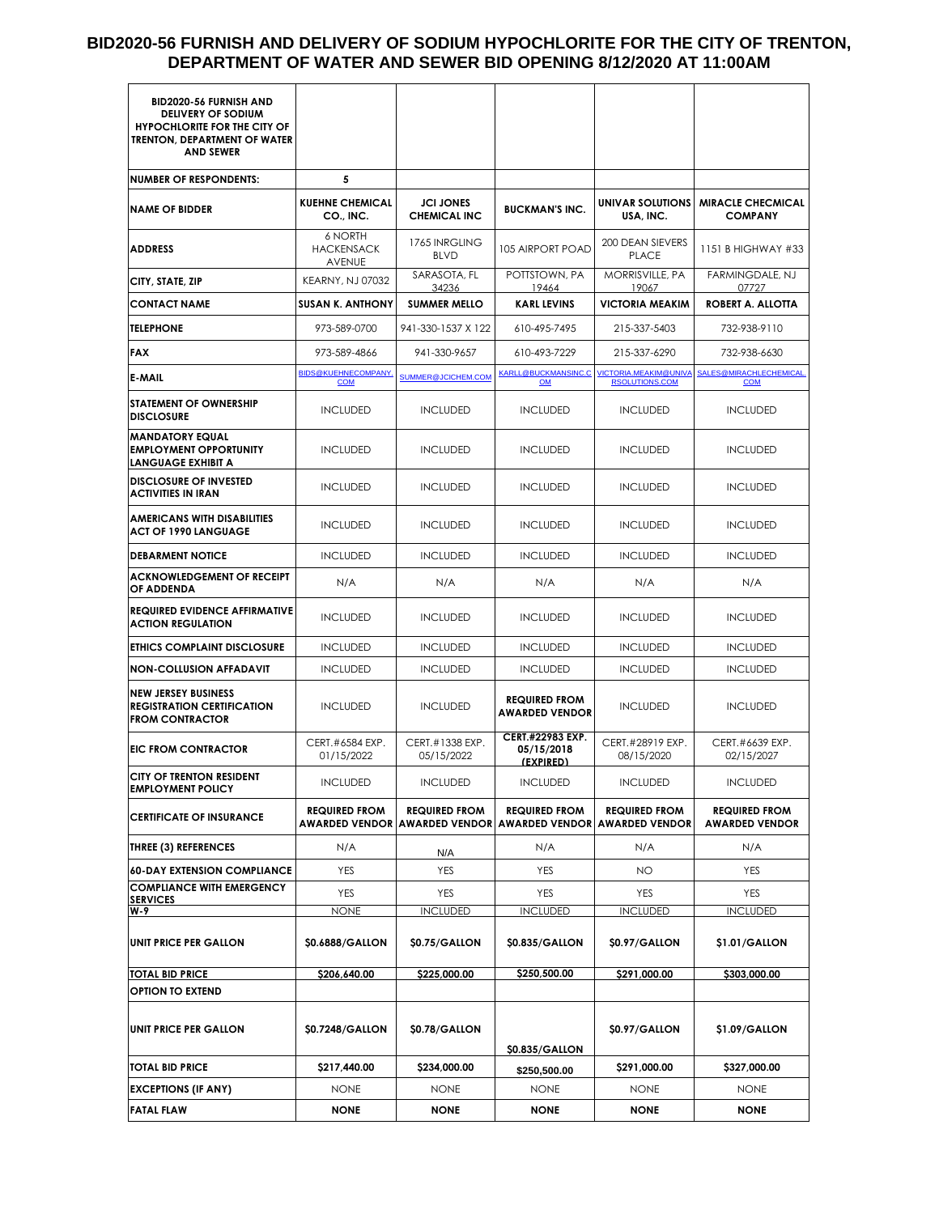### **BID2020-56 FURNISH AND DELIVERY OF SODIUM HYPOCHLORITE FOR THE CITY OF TRENTON, DEPARTMENT OF WATER AND SEWER BID OPENING 8/12/2020 AT 11:00AM**

| BID2020-56 FURNISH AND<br><b>DELIVERY OF SODIUM</b><br><b>HYPOCHLORITE FOR THE CITY OF</b><br><b>TRENTON, DEPARTMENT OF WATER</b><br><b>AND SEWER</b> |                                          |                                                              |                                               |                                                |                                               |
|-------------------------------------------------------------------------------------------------------------------------------------------------------|------------------------------------------|--------------------------------------------------------------|-----------------------------------------------|------------------------------------------------|-----------------------------------------------|
| <b>NUMBER OF RESPONDENTS:</b>                                                                                                                         | 5                                        |                                                              |                                               |                                                |                                               |
| <b>NAME OF BIDDER</b>                                                                                                                                 | <b>KUEHNE CHEMICAL</b><br>CO., INC.      | <b>JCI JONES</b><br><b>CHEMICAL INC</b>                      | <b>BUCKMAN'S INC.</b>                         | UNIVAR SOLUTIONS<br>USA, INC.                  | <b>MIRACLE CHECMICAL</b><br><b>COMPANY</b>    |
| <b>ADDRESS</b>                                                                                                                                        | 6 NORTH<br><b>HACKENSACK</b><br>AVENUE   | 1765 INRGLING<br><b>BLVD</b>                                 | <b>105 AIRPORT POAD</b>                       | 200 DEAN SIEVERS<br><b>PLACE</b>               | 1151 B HIGHWAY #33                            |
| CITY, STATE, ZIP                                                                                                                                      | <b>KEARNY, NJ 07032</b>                  | SARASOTA, FL<br>34236                                        | POTTSTOWN, PA<br>19464                        | MORRISVILLE, PA<br>19067                       | <b>FARMINGDALE, NJ</b><br>07727               |
| <b>CONTACT NAME</b>                                                                                                                                   | <b>SUSAN K. ANTHONY</b>                  | <b>SUMMER MELLO</b>                                          | <b>KARL LEVINS</b>                            | <b>VICTORIA MEAKIM</b>                         | ROBERT A. ALLOTTA                             |
| <b>TELEPHONE</b>                                                                                                                                      | 973-589-0700                             | 941-330-1537 X 122                                           | 610-495-7495                                  | 215-337-5403                                   | 732-938-9110                                  |
| <b>FAX</b>                                                                                                                                            | 973-589-4866                             | 941-330-9657                                                 | 610-493-7229                                  | 215-337-6290                                   | 732-938-6630                                  |
| <b>E-MAIL</b>                                                                                                                                         | <b>BIDS@KUEHNECOMPANY.</b><br><b>COM</b> | SUMMER@JCICHEM.COM                                           | <b>KARLL@BUCKMANSINC.C</b><br>OM              | VICTORIA.MEAKIM@UNIVA<br><b>RSOLUTIONS.COM</b> | SALES@MIRACHLECHEMICAL<br><b>COM</b>          |
| <b>STATEMENT OF OWNERSHIP</b><br><b>DISCLOSURE</b>                                                                                                    | <b>INCLUDED</b>                          | <b>INCLUDED</b>                                              | <b>INCLUDED</b>                               | <b>INCLUDED</b>                                | <b>INCLUDED</b>                               |
| <b>MANDATORY EQUAL</b><br><b>EMPLOYMENT OPPORTUNITY</b><br>LANGUAGE EXHIBIT A                                                                         | <b>INCLUDED</b>                          | <b>INCLUDED</b>                                              | <b>INCLUDED</b>                               | <b>INCLUDED</b>                                | <b>INCLUDED</b>                               |
| <b>DISCLOSURE OF INVESTED</b><br><b>ACTIVITIES IN IRAN</b>                                                                                            | <b>INCLUDED</b>                          | <b>INCLUDED</b>                                              | <b>INCLUDED</b>                               | <b>INCLUDED</b>                                | <b>INCLUDED</b>                               |
| <b>AMERICANS WITH DISABILITIES</b><br><b>ACT OF 1990 LANGUAGE</b>                                                                                     | <b>INCLUDED</b>                          | <b>INCLUDED</b>                                              | <b>INCLUDED</b>                               | <b>INCLUDED</b>                                | <b>INCLUDED</b>                               |
| <b>DEBARMENT NOTICE</b>                                                                                                                               | <b>INCLUDED</b>                          | <b>INCLUDED</b>                                              | <b>INCLUDED</b>                               | <b>INCLUDED</b>                                | <b>INCLUDED</b>                               |
| <b>ACKNOWLEDGEMENT OF RECEIPT</b><br>OF ADDENDA                                                                                                       | N/A                                      | N/A                                                          | N/A                                           | N/A                                            | N/A                                           |
| <b>REQUIRED EVIDENCE AFFIRMATIVE</b><br><b>ACTION REGULATION</b>                                                                                      | <b>INCLUDED</b>                          | <b>INCLUDED</b>                                              | <b>INCLUDED</b>                               | <b>INCLUDED</b>                                | <b>INCLUDED</b>                               |
| <b>ETHICS COMPLAINT DISCLOSURE</b>                                                                                                                    | <b>INCLUDED</b>                          | <b>INCLUDED</b>                                              | <b>INCLUDED</b>                               | <b>INCLUDED</b>                                | <b>INCLUDED</b>                               |
| <b>NON-COLLUSION AFFADAVIT</b>                                                                                                                        | <b>INCLUDED</b>                          | <b>INCLUDED</b>                                              | <b>INCLUDED</b>                               | <b>INCLUDED</b>                                | <b>INCLUDED</b>                               |
| <b>NEW JERSEY BUSINESS</b><br><b>REGISTRATION CERTIFICATION</b><br><b>FROM CONTRACTOR</b>                                                             | <b>INCLUDED</b>                          | <b>INCLUDED</b>                                              | <b>REQUIRED FROM</b><br><b>AWARDED VENDOR</b> | <b>INCLUDED</b>                                | <b>INCLUDED</b>                               |
| <b>EIC FROM CONTRACTOR</b>                                                                                                                            | CERT.#6584 EXP.<br>01/15/2022            | CERT.#1338 EXP.<br>05/15/2022                                | CERT.#22983 EXP.<br>05/15/2018<br>(EXPIRED)   | CERT.#28919 EXP.<br>08/15/2020                 | CERT.#6639 EXP.<br>02/15/2027                 |
| <b>CITY OF TRENTON RESIDENT</b><br><b>EMPLOYMENT POLICY</b>                                                                                           | <b>INCLUDED</b>                          | <b>INCLUDED</b>                                              | <b>INCLUDED</b>                               | <b>INCLUDED</b>                                | <b>INCLUDED</b>                               |
| <b>CERTIFICATE OF INSURANCE</b>                                                                                                                       | <b>REQUIRED FROM</b>                     | <b>REQUIRED FROM</b><br><b>AWARDED VENDOR AWARDED VENDOR</b> | <b>REQUIRED FROM</b><br><b>AWARDED VENDOR</b> | <b>REQUIRED FROM</b><br><b>AWARDED VENDOR</b>  | <b>REQUIRED FROM</b><br><b>AWARDED VENDOR</b> |
| <b>THREE (3) REFERENCES</b>                                                                                                                           | N/A                                      | N/A                                                          | N/A                                           | N/A                                            | N/A                                           |
| <b>60-DAY EXTENSION COMPLIANCE</b>                                                                                                                    | <b>YES</b>                               | YES                                                          | YES                                           | NO                                             | YES                                           |
| <b>COMPLIANCE WITH EMERGENCY</b><br><b>SERVICES</b>                                                                                                   | YES                                      | YES                                                          | YES                                           | YES                                            | YES                                           |
| W-9                                                                                                                                                   | <b>NONE</b>                              | <b>INCLUDED</b>                                              | <b>INCLUDED</b>                               | <b>INCLUDED</b>                                | <b>INCLUDED</b>                               |
| UNIT PRICE PER GALLON                                                                                                                                 | \$0.6888/GALLON                          | \$0.75/GALLON                                                | \$0.835/GALLON                                | \$0.97/GALLON                                  | \$1.01/GALLON                                 |
| <b>TOTAL BID PRICE</b>                                                                                                                                | \$206,640.00                             | \$225,000.00                                                 | \$250,500.00                                  | \$291,000.00                                   | \$303,000.00                                  |
| <b>OPTION TO EXTEND</b>                                                                                                                               |                                          |                                                              |                                               |                                                |                                               |
| UNIT PRICE PER GALLON                                                                                                                                 | \$0.7248/GALLON                          | \$0.78/GALLON                                                | \$0.835/GALLON                                | \$0.97/GALLON                                  | \$1.09/GALLON                                 |
| <b>TOTAL BID PRICE</b>                                                                                                                                | \$217,440.00                             | \$234,000.00                                                 | \$250,500.00                                  | \$291,000.00                                   | \$327,000.00                                  |
| <b>EXCEPTIONS (IF ANY)</b>                                                                                                                            | <b>NONE</b>                              | <b>NONE</b>                                                  | <b>NONE</b>                                   | <b>NONE</b>                                    | <b>NONE</b>                                   |
| <b>FATAL FLAW</b>                                                                                                                                     | <b>NONE</b>                              | NONE                                                         | <b>NONE</b>                                   | NONE                                           | <b>NONE</b>                                   |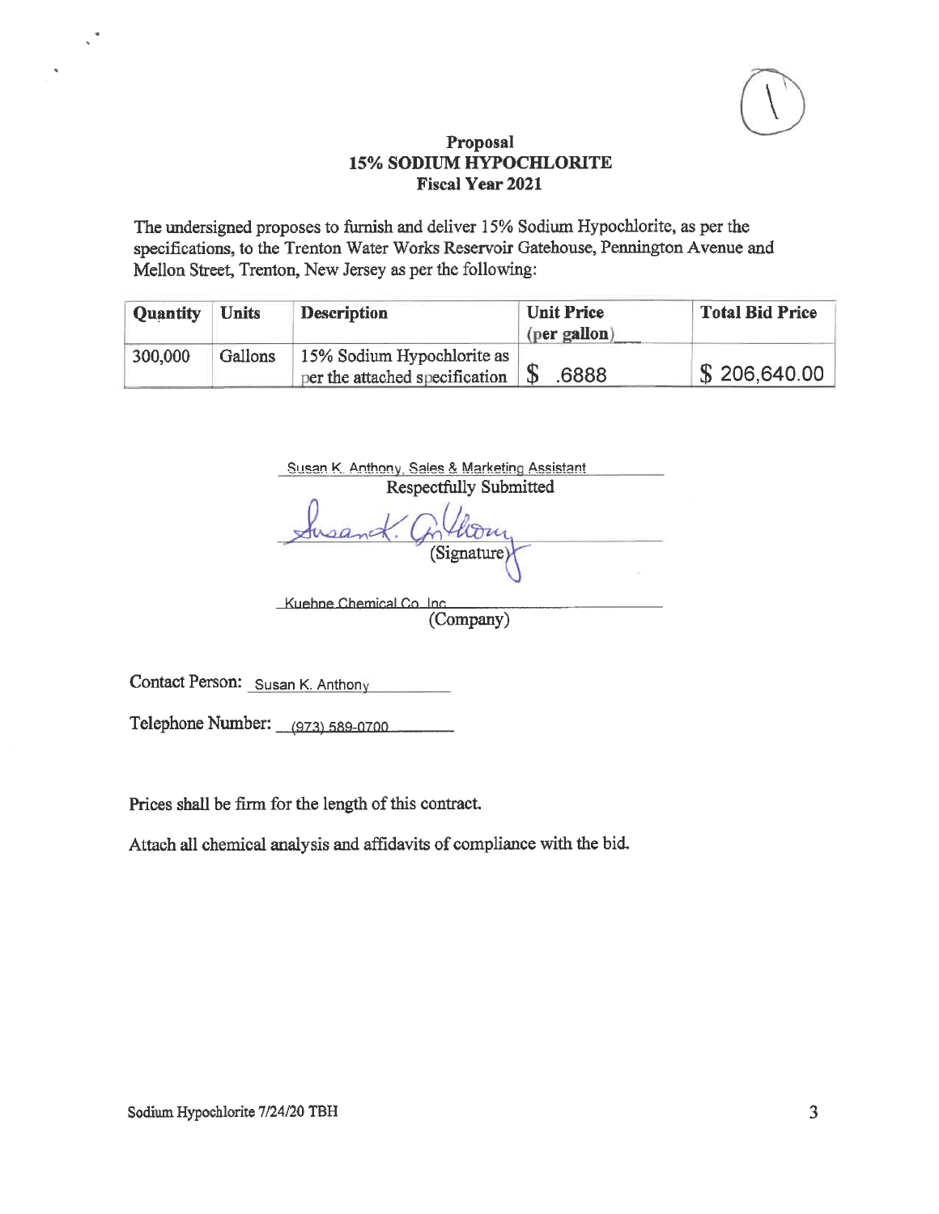

The undersigned proposes to furnish and deliver 15% Sodium Hypochlorite, as per the specifications, to the Trenton Water Works Reservoir Gatehouse, Pennington Avenue and Mellon Street, Trenton, New Jersey as per the following:

| <b>Quantity</b> | <b>Units</b> | <b>Description</b>                                                          | <b>Unit Price</b><br>(per gallon) | <b>Total Bid Price</b> |
|-----------------|--------------|-----------------------------------------------------------------------------|-----------------------------------|------------------------|
| 300,000         | Gallons      | 15% Sodium Hypochlorite as<br>per the attached specification $\parallel$ \$ | .6888                             | \$206,640.00           |

| Respectfully Submitted |  |
|------------------------|--|
|                        |  |
| (Signature)            |  |

(Company)

Contact Person: Susan K. Anthony

 $\mathcal{L}^{\frac{1}{2}}$ 

Telephone Number: (973) 589-0700

Prices shall be firm for the length of this contract.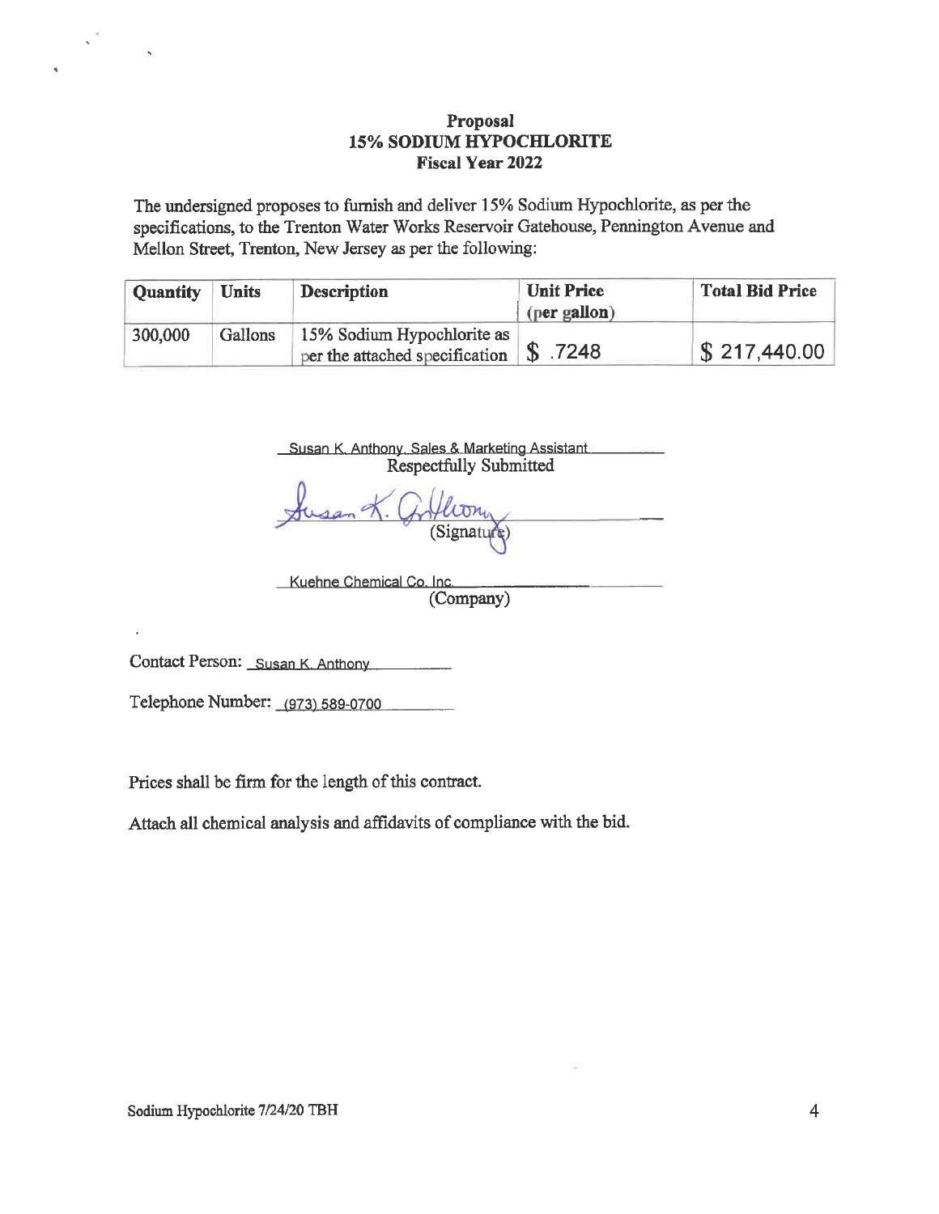The undersigned proposes to furnish and deliver 15% Sodium Hypochlorite, as per the specifications, to the Trenton Water Works Reservoir Gatehouse, Pennington Avenue and Mellon Street, Trenton, New Jersey as per the following:

| <b>Quantity</b> | <b>Units</b> | <b>Description</b>                                                            | <b>Unit Price</b> | <b>Total Bid Price</b>   |
|-----------------|--------------|-------------------------------------------------------------------------------|-------------------|--------------------------|
|                 |              |                                                                               | (per gallon)      |                          |
| 300,000         | Gallons      | 15% Sodium Hypochlorite as<br>per the attached specification $\sqrt{S}$ .7248 |                   | $\frac{1}{2}$ 217,440.00 |

Susan K. Anthony, Sales & Marketing Assistant Respectfully Submitted

Kuehne Chemical Co. Inc. (Company)

Contact Person: Susan K. Anthony

Telephone Number: (973) 589-0700

Prices shall be firm for the length of this contract.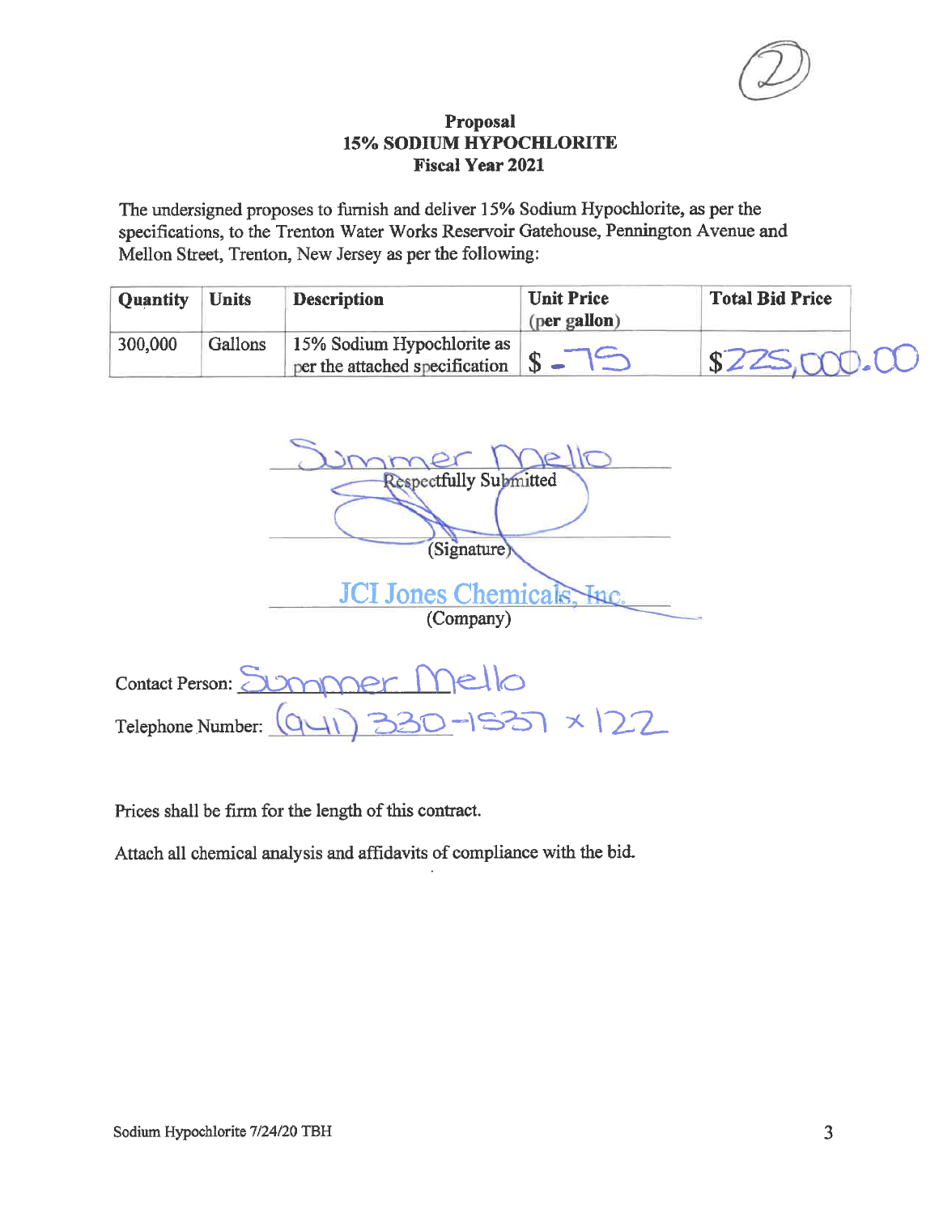The undersigned proposes to furnish and deliver 15% Sodium Hypochlorite, as per the specifications, to the Trenton Water Works Reservoir Gatehouse, Pennington Avenue and Mellon Street, Trenton, New Jersey as per the following:

| <b>Quantity</b> | <b>Units</b> | <b>Description</b>                                           | <b>Unit Price</b><br>(per gallon) | <b>Total Bid Price</b> |
|-----------------|--------------|--------------------------------------------------------------|-----------------------------------|------------------------|
| 300,000         | Gallons      | 15% Sodium Hypochlorite as<br>per the attached specification |                                   | \$225,000.00           |

 $\alpha$ **Respectfully Submitted** (Signature) **JCI Jones Chemicals.** (Company)

Contact Person: Summer  $c||c$  $1537 \times 122$ Telephone Number: Q

Prices shall be firm for the length of this contract.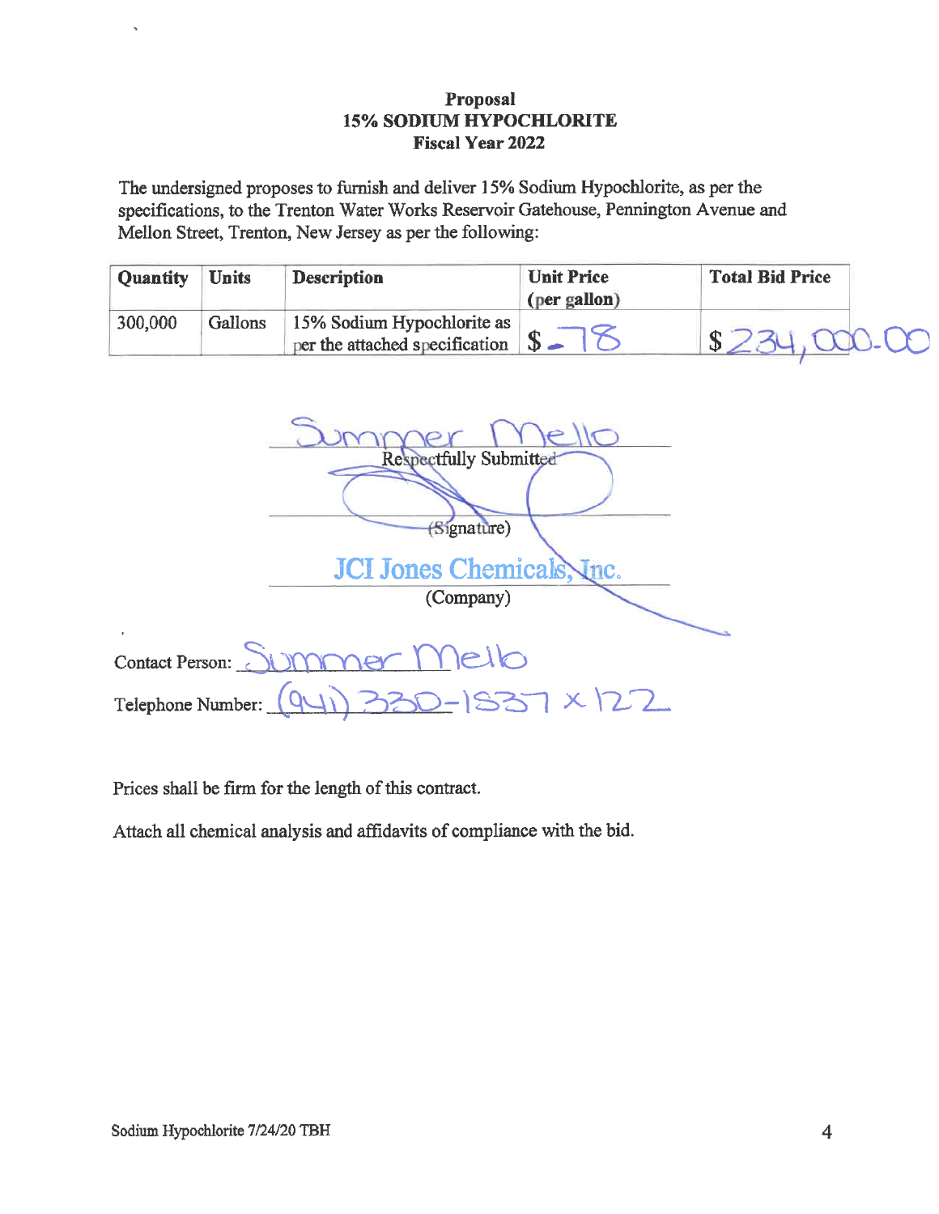The undersigned proposes to furnish and deliver 15% Sodium Hypochlorite, as per the specifications, to the Trenton Water Works Reservoir Gatehouse, Pennington Avenue and Mellon Street, Trenton, New Jersey as per the following:

| <b>Quantity</b> | <b>Units</b> | <b>Description</b>                                                           | <b>Unit Price</b> | <b>Total Bid Price</b> |
|-----------------|--------------|------------------------------------------------------------------------------|-------------------|------------------------|
|                 |              |                                                                              | (per gallon)      |                        |
| 300,000         | Gallons      | 15% Sodium Hypochlorite as<br>per the attached specification $\mathcal{S}$ – |                   | $$234,000-00$          |

| <b>Respectfully Submitted</b>        |
|--------------------------------------|
|                                      |
| (Signature)                          |
| JCI Jones Chemicals, Inc.            |
| (Company)                            |
| $\blacksquare$                       |
| immer Melb<br>Contact Person:        |
| 1330-1837 × 122<br>Telephone Number: |

Prices shall be firm for the length of this contract.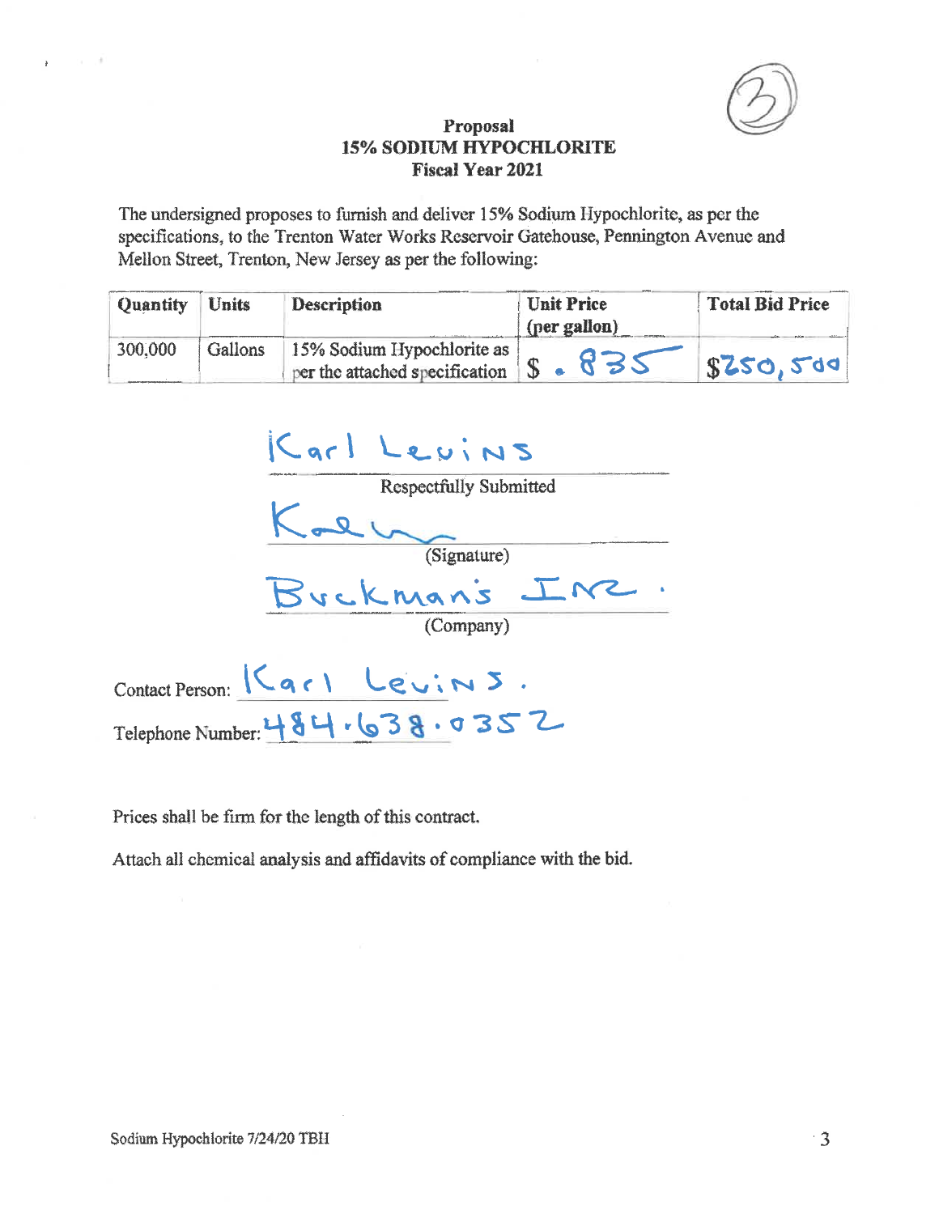

The undersigned proposes to furnish and deliver 15% Sodium Hypochlorite, as per the specifications, to the Trenton Water Works Reservoir Gatehouse, Pennington Avenue and Mellon Street, Trenton, New Jersey as per the following:

| <b>Quantity</b> | <b>Units</b> | <b>Description</b>                                                                  | <b>Unit Price</b><br>(per gallon) | <b>Total Bid Price</b> |
|-----------------|--------------|-------------------------------------------------------------------------------------|-----------------------------------|------------------------|
| 300,000         | Gallons      | 15% Sodium Hypochlorite as<br>$\gamma$ per the attached specification $\frac{1}{2}$ | 832                               | \$250,500              |

| Karl Levins                    |
|--------------------------------|
| <b>Respectfully Submitted</b>  |
| (Signature)                    |
| Buckman's In2                  |
| (Company)                      |
| Contact Person: Karl Levins.   |
| Telephone Number: 484.638.0352 |

Prices shall be firm for the length of this contract.

Attach all chemical analysis and affidavits of compliance with the bid.

 $\alpha = 10^6$ 

 $\bar{\pmb{r}}$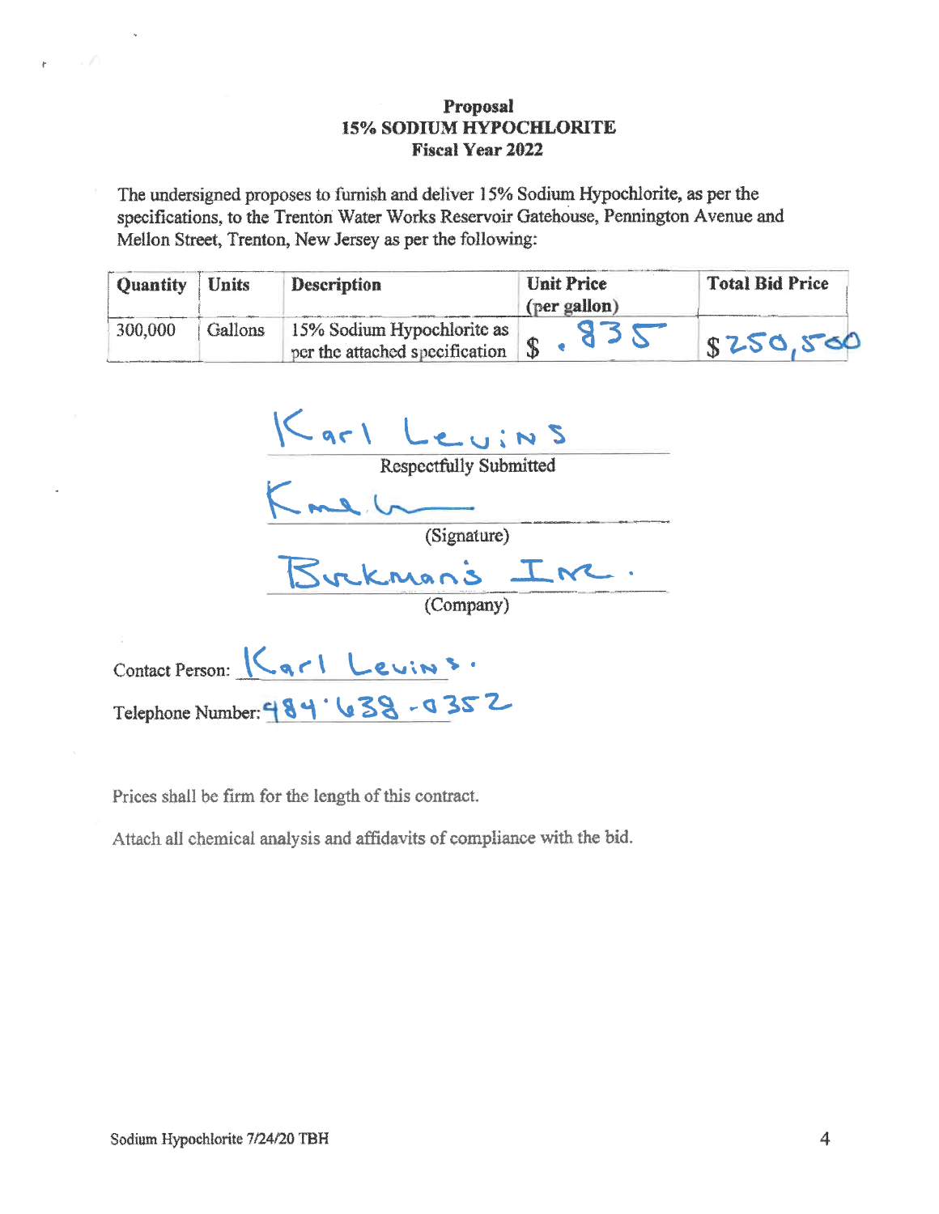The undersigned proposes to furnish and deliver 15% Sodium Hypochlorite, as per the specifications, to the Trenton Water Works Reservoir Gatehouse, Pennington Avenue and Mellon Street, Trenton, New Jersey as per the following:

| Quantity | <b>Units</b> | Description                                                  | Unit Price<br>(per gallon) | <b>Total Bid Price</b> |
|----------|--------------|--------------------------------------------------------------|----------------------------|------------------------|
| 300,000  | Gallons      | 15% Sodium Hypochlorite as<br>per the attached specification |                            | 18250,500              |

Karl Leuins<br>Respectfully Submitted<br>Kme Leuins<br>(Signature)<br>Buckman's Inc.

Contact Person: Kgrl Levins. Telephone Number: 484'638-0352

Prices shall be firm for the length of this contract.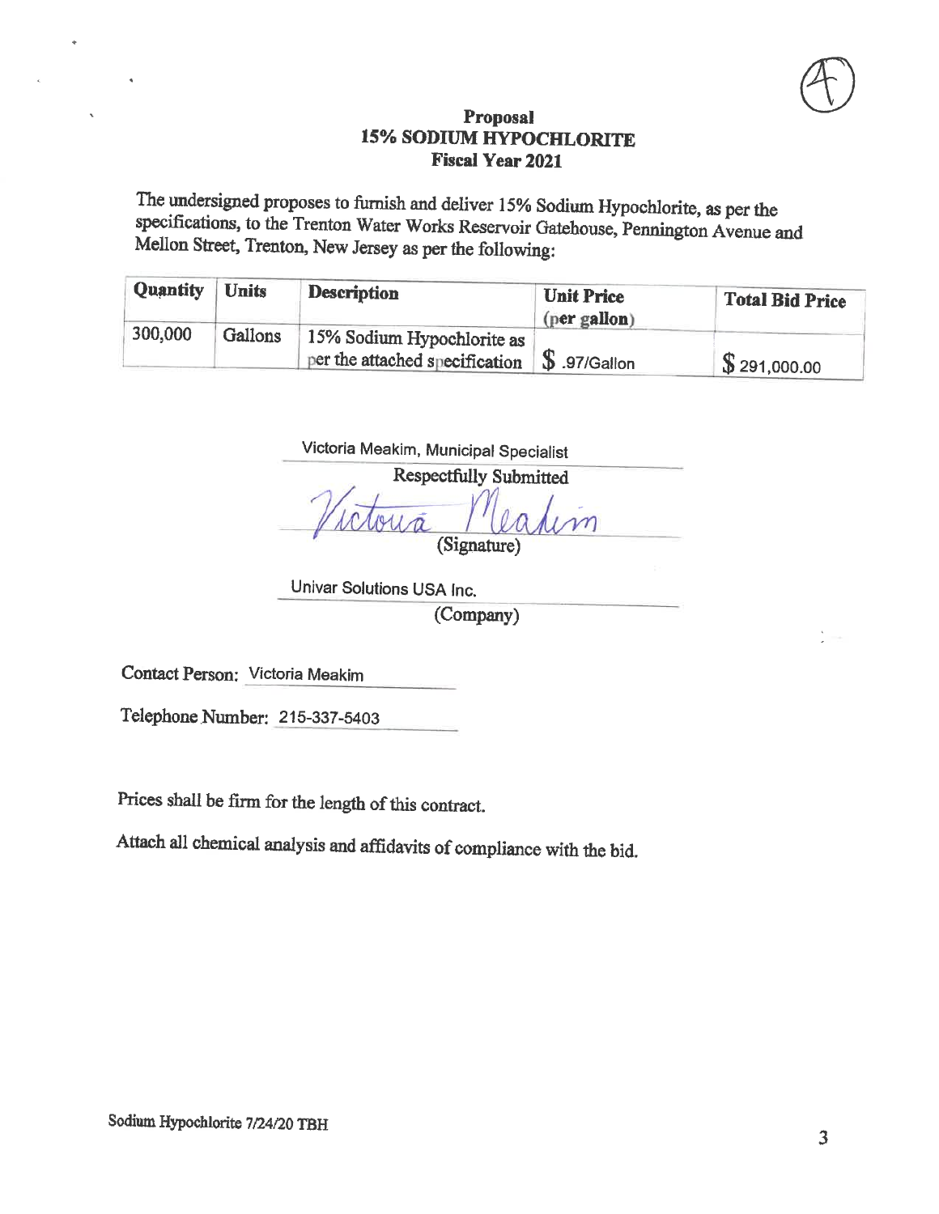The undersigned proposes to furnish and deliver 15% Sodium Hypochlorite, as per the specifications, to the Trenton Water Works Reservoir Gatehouse, Pennington Avenue and Mellon Street, Trenton, New Jersey as per the following:

| <b>Quantity</b> | <b>Units</b> | <b>Description</b>                                           | <b>Unit Price</b><br>(per gallon) | <b>Total Bid Price</b> |
|-----------------|--------------|--------------------------------------------------------------|-----------------------------------|------------------------|
| 300,000         | Gallons      | 15% Sodium Hypochlorite as<br>per the attached specification | $\mathbb{S}$ .97/Gallon           | \$291,000.00           |

Victoria Meakim, Municipal Specialist

**Respectfully Submitted** (Signature)

Univar Solutions USA Inc. (Company)

Contact Person: Victoria Meakim

Telephone Number: 215-337-5403

Prices shall be firm for the length of this contract.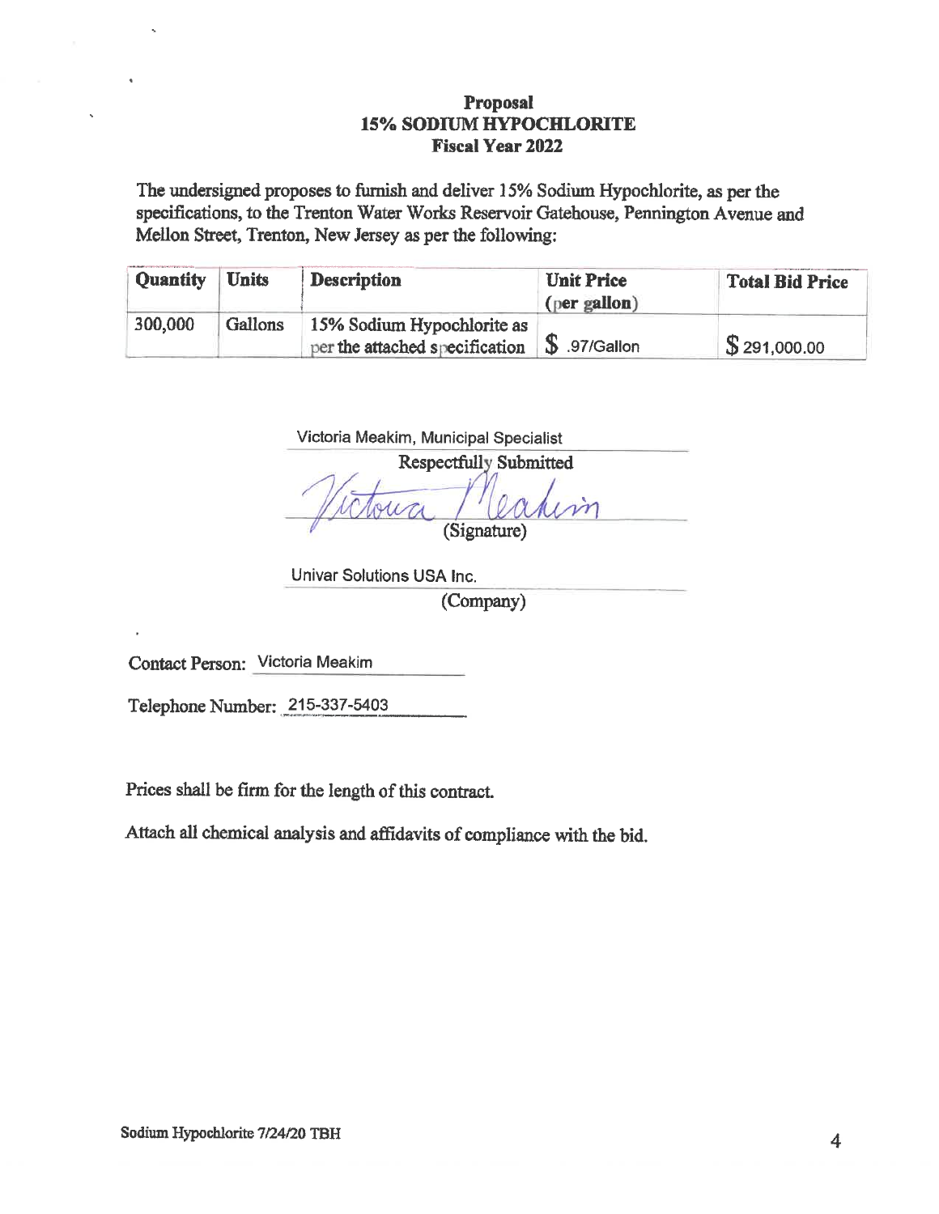The undersigned proposes to furnish and deliver 15% Sodium Hypochlorite, as per the specifications, to the Trenton Water Works Reservoir Gatehouse, Pennington Avenue and Mellon Street, Trenton, New Jersey as per the following:

| <b>Quantity</b> | <b>Units</b> | <b>Description</b>                                                             | <b>Unit Price</b><br>(per gallon) | <b>Total Bid Price</b> |
|-----------------|--------------|--------------------------------------------------------------------------------|-----------------------------------|------------------------|
| 300,000         | Gallons      | 15% Sodium Hypochlorite as<br>per the attached specification $\$\$$ .97/Gallon |                                   | \$291,000.00           |

| <b>Respectfully Submitted</b> |
|-------------------------------|
|                               |
|                               |
| (Signature)                   |

Univar Solutions USA Inc. (Company)

Contact Person: Victoria Meakim

Telephone Number: 215-337-5403

Prices shall be firm for the length of this contract.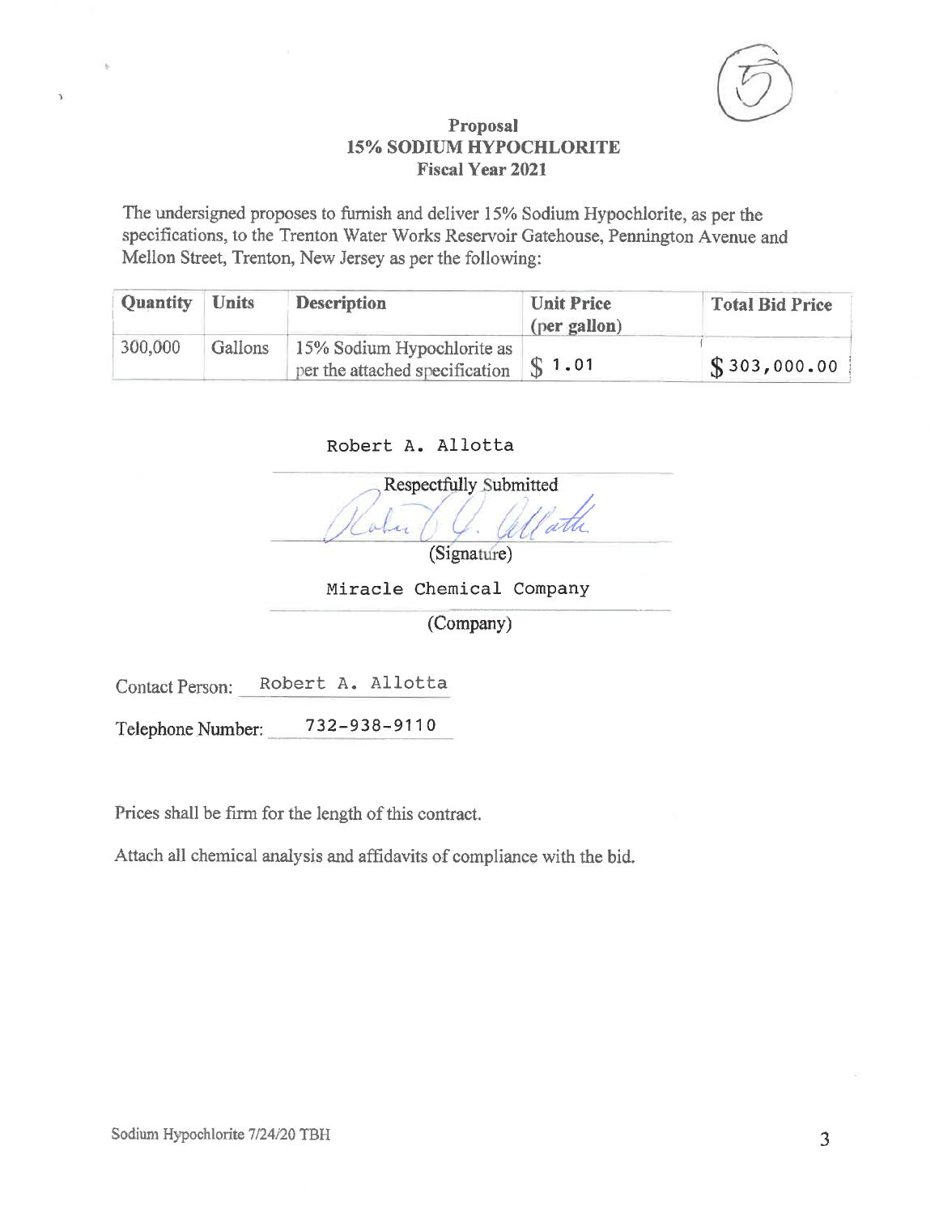

The undersigned proposes to furnish and deliver 15% Sodium Hypochlorite, as per the specifications, to the Trenton Water Works Reservoir Gatehouse, Pennington Avenue and Mellon Street, Trenton, New Jersey as per the following:

| <b>Quantity</b> | <b>Units</b> | <b>Description</b>                                                         | <b>Unit Price</b><br>(per gallon) | <b>Total Bid Price</b> |
|-----------------|--------------|----------------------------------------------------------------------------|-----------------------------------|------------------------|
| 300,000         | Gallons      | 15% Sodium Hypochlorite as<br>per the attached specification $\ \S 1.01\ $ |                                   | $\sqrt{\$303,000.00}$  |

Robert A. Allotta

Respectfully Submitted alu (Signature)

Miracle Chemical Company

(Company)

Robert A. Allotta Contact Person:

 $\bar{\mathbf{z}}$ 

732-938-9110 Telephone Number:

Prices shall be firm for the length of this contract.